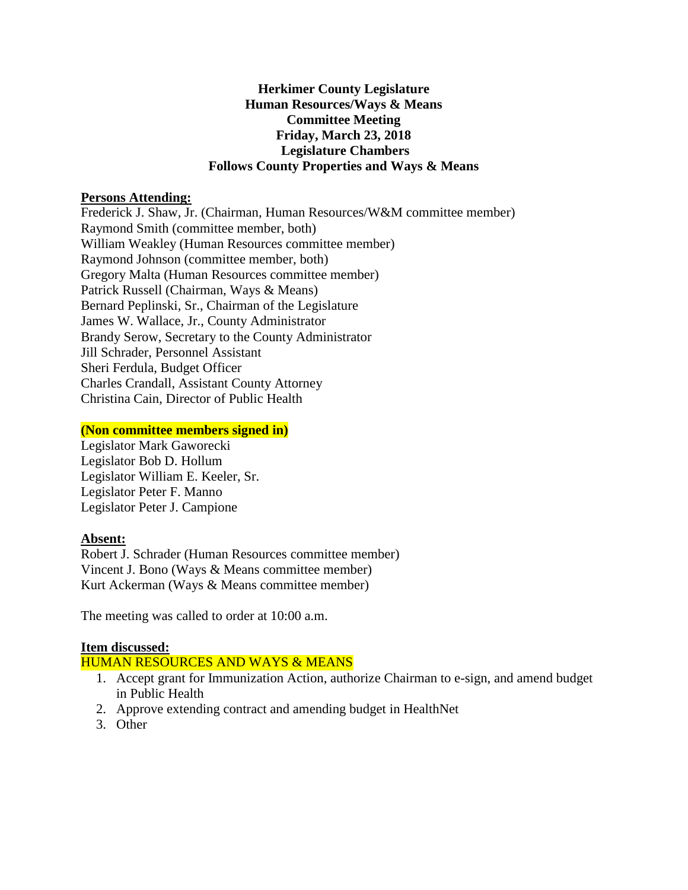### **Herkimer County Legislature Human Resources/Ways & Means Committee Meeting Friday, March 23, 2018 Legislature Chambers Follows County Properties and Ways & Means**

### **Persons Attending:**

Frederick J. Shaw, Jr. (Chairman, Human Resources/W&M committee member) Raymond Smith (committee member, both) William Weakley (Human Resources committee member) Raymond Johnson (committee member, both) Gregory Malta (Human Resources committee member) Patrick Russell (Chairman, Ways & Means) Bernard Peplinski, Sr., Chairman of the Legislature James W. Wallace, Jr., County Administrator Brandy Serow, Secretary to the County Administrator Jill Schrader, Personnel Assistant Sheri Ferdula, Budget Officer Charles Crandall, Assistant County Attorney Christina Cain, Director of Public Health

### **(Non committee members signed in)**

Legislator Mark Gaworecki Legislator Bob D. Hollum Legislator William E. Keeler, Sr. Legislator Peter F. Manno Legislator Peter J. Campione

# **Absent:**

Robert J. Schrader (Human Resources committee member) Vincent J. Bono (Ways & Means committee member) Kurt Ackerman (Ways & Means committee member)

The meeting was called to order at 10:00 a.m.

# **Item discussed:**

HUMAN RESOURCES AND WAYS & MEANS

- 1. Accept grant for Immunization Action, authorize Chairman to e-sign, and amend budget in Public Health
- 2. Approve extending contract and amending budget in HealthNet
- 3. Other